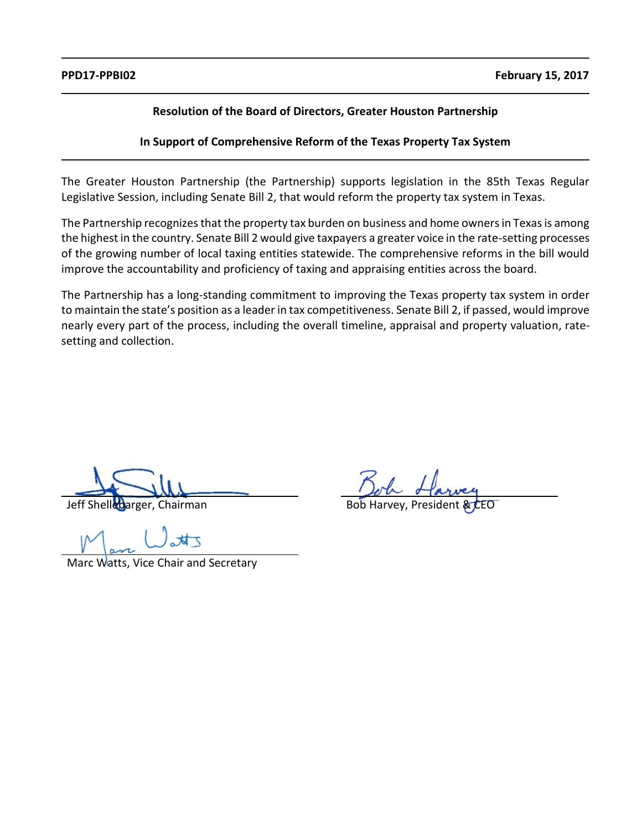# **Resolution of the Board of Directors, Greater Houston Partnership**

**In Support of Comprehensive Reform of the Texas Property Tax System** 

The Greater Houston Partnership (the Partnership) supports legislation in the 85th Texas Regular Legislative Session, including Senate Bill 2, that would reform the property tax system in Texas.

The Partnership recognizes that the property tax burden on business and home owners in Texas is among the highest in the country. Senate Bill 2 would give taxpayers a greater voice in the rate-setting processes of the growing number of local taxing entities statewide. The comprehensive reforms in the bill would improve the accountability and proficiency of taxing and appraising entities across the board.

The Partnership has a long-standing commitment to improving the Texas property tax system in order to maintain the state's position as a leader in tax competitiveness. Senate Bill 2, if passed, would improve nearly every part of the process, including the overall timeline, appraisal and property valuation, ratesetting and collection.

Marc Watts, Vice Chair and Secretary

Jeff Shellebarger, Chairman Bob Harvey, President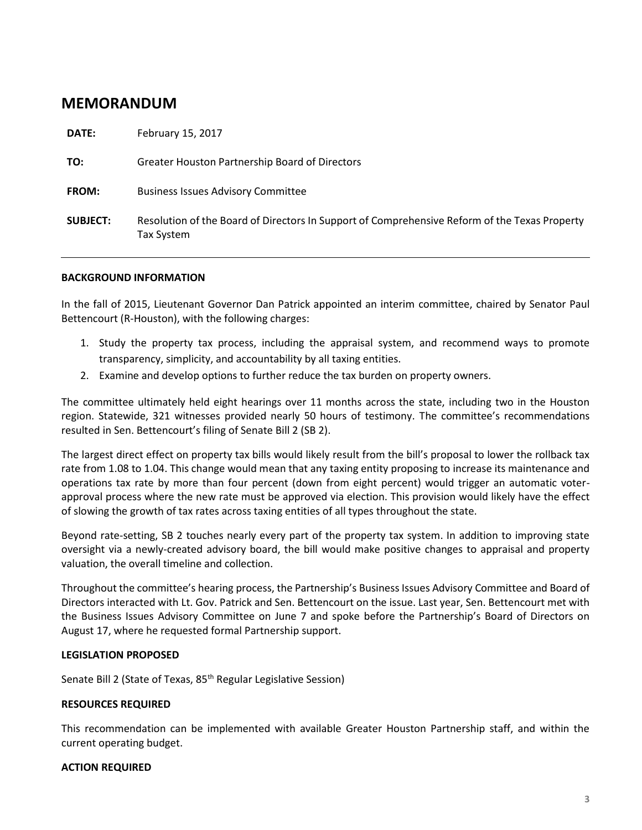# **MEMORANDUM**

| <b>DATE:</b>    | February 15, 2017                                                                                           |
|-----------------|-------------------------------------------------------------------------------------------------------------|
| TO:             | <b>Greater Houston Partnership Board of Directors</b>                                                       |
| <b>FROM:</b>    | <b>Business Issues Advisory Committee</b>                                                                   |
| <b>SUBJECT:</b> | Resolution of the Board of Directors In Support of Comprehensive Reform of the Texas Property<br>Tax System |

# **BACKGROUND INFORMATION**

In the fall of 2015, Lieutenant Governor Dan Patrick appointed an interim committee, chaired by Senator Paul Bettencourt (R-Houston), with the following charges:

- 1. Study the property tax process, including the appraisal system, and recommend ways to promote transparency, simplicity, and accountability by all taxing entities.
- 2. Examine and develop options to further reduce the tax burden on property owners.

The committee ultimately held eight hearings over 11 months across the state, including two in the Houston region. Statewide, 321 witnesses provided nearly 50 hours of testimony. The committee's recommendations resulted in Sen. Bettencourt's filing of Senate Bill 2 (SB 2).

The largest direct effect on property tax bills would likely result from the bill's proposal to lower the rollback tax rate from 1.08 to 1.04. This change would mean that any taxing entity proposing to increase its maintenance and operations tax rate by more than four percent (down from eight percent) would trigger an automatic voterapproval process where the new rate must be approved via election. This provision would likely have the effect of slowing the growth of tax rates across taxing entities of all types throughout the state.

Beyond rate-setting, SB 2 touches nearly every part of the property tax system. In addition to improving state oversight via a newly-created advisory board, the bill would make positive changes to appraisal and property valuation, the overall timeline and collection.

Throughout the committee's hearing process, the Partnership's Business Issues Advisory Committee and Board of Directors interacted with Lt. Gov. Patrick and Sen. Bettencourt on the issue. Last year, Sen. Bettencourt met with the Business Issues Advisory Committee on June 7 and spoke before the Partnership's Board of Directors on August 17, where he requested formal Partnership support.

# **LEGISLATION PROPOSED**

Senate Bill 2 (State of Texas, 85<sup>th</sup> Regular Legislative Session)

### **RESOURCES REQUIRED**

This recommendation can be implemented with available Greater Houston Partnership staff, and within the current operating budget.

### **ACTION REQUIRED**